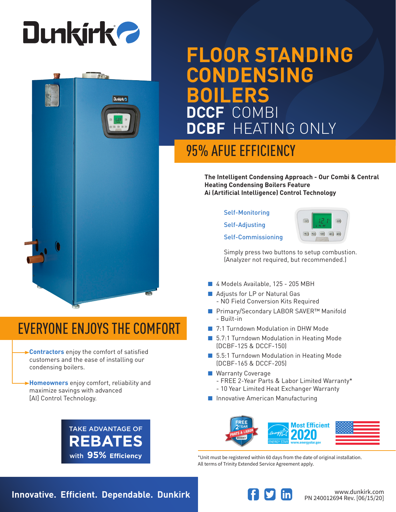

**Dunkirk** 

# **FLOOR STANDING CONDENSING BOILERS DCCF** COMBI **DCBF** HEATING ONLY

## 95% AFUE EFFICIENCY

**The Intelligent Condensing Approach - Our Combi & Central Heating Condensing Boilers Feature Ai (Artificial Intelligence) Control Technology**

#### Self-Monitoring

Self-Adjusting

Self-Commissioning



Simply press two buttons to setup combustion. (Analyzer not required, but recommended.)

- 4 Models Available, 125 205 MBH
- Adjusts for LP or Natural Gas
	- NO Field Conversion Kits Required
- Primary/Secondary LABOR SAVER<sup>™</sup> Manifold - Built-in
- 7:1 Turndown Modulation in DHW Mode
- 5.7:1 Turndown Modulation in Heating Mode (DCBF-125 & DCCF-150)
- 5.5:1 Turndown Modulation in Heating Mode (DCBF-165 & DCCF-205)
- Warranty Coverage
	- FREE 2-Year Parts & Labor Limited Warranty\*
	- 10 Year Limited Heat Exchanger Warranty
- Innovative American Manufacturing



\*Unit must be registered within 60 days from the date of original installation. All terms of Trinity Extended Service Agreement apply.

## EVERYONE ENJOYS THE COMFORT

- **Contractors** enjoy the comfort of satisfied customers and the ease of installing our condensing boilers.
- **Homeowners** enjoy comfort, reliability and maximize savings with advanced [AI] Control Technology.



**Innovative. Efficient. Dependable. Dunkirk Wave and South and Medicinal Property Communistry.com**